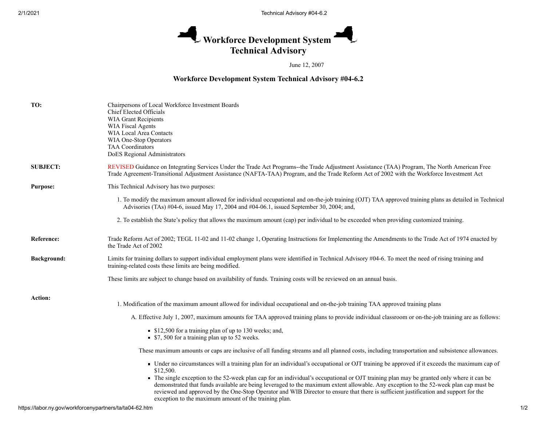## Workforce Development System **Technical Advisory**

June 12, 2007

## **Workforce Development System Technical Advisory #04-6.2**

| TO:                | Chairpersons of Local Workforce Investment Boards<br>Chief Elected Officials<br>WIA Grant Recipients<br><b>WIA Fiscal Agents</b><br>WIA Local Area Contacts<br>WIA One-Stop Operators<br>TAA Coordinators<br>DoES Regional Administrators                                                                                                                                                                                                                                         |
|--------------------|-----------------------------------------------------------------------------------------------------------------------------------------------------------------------------------------------------------------------------------------------------------------------------------------------------------------------------------------------------------------------------------------------------------------------------------------------------------------------------------|
| <b>SUBJECT:</b>    | REVISED Guidance on Integrating Services Under the Trade Act Programs--the Trade Adjustment Assistance (TAA) Program, The North American Free<br>Trade Agreement-Transitional Adjustment Assistance (NAFTA-TAA) Program, and the Trade Reform Act of 2002 with the Workforce Investment Act                                                                                                                                                                                       |
| <b>Purpose:</b>    | This Technical Advisory has two purposes:                                                                                                                                                                                                                                                                                                                                                                                                                                         |
|                    | 1. To modify the maximum amount allowed for individual occupational and on-the-job training (OJT) TAA approved training plans as detailed in Technical<br>Advisories (TAs) #04-6, issued May 17, 2004 and #04-06.1, issued September 30, 2004; and,                                                                                                                                                                                                                               |
|                    | 2. To establish the State's policy that allows the maximum amount (cap) per individual to be exceeded when providing customized training.                                                                                                                                                                                                                                                                                                                                         |
| Reference:         | Trade Reform Act of 2002; TEGL 11-02 and 11-02 change 1, Operating Instructions for Implementing the Amendments to the Trade Act of 1974 enacted by<br>the Trade Act of 2002                                                                                                                                                                                                                                                                                                      |
| <b>Background:</b> | Limits for training dollars to support individual employment plans were identified in Technical Advisory #04-6. To meet the need of rising training and<br>training-related costs these limits are being modified.                                                                                                                                                                                                                                                                |
|                    | These limits are subject to change based on availability of funds. Training costs will be reviewed on an annual basis.                                                                                                                                                                                                                                                                                                                                                            |
| Action:            | 1. Modification of the maximum amount allowed for individual occupational and on-the-job training TAA approved training plans                                                                                                                                                                                                                                                                                                                                                     |
|                    | A. Effective July 1, 2007, maximum amounts for TAA approved training plans to provide individual classroom or on-the-job training are as follows:                                                                                                                                                                                                                                                                                                                                 |
|                    | S12,500 for a training plan of up to 130 weeks; and,<br>• \$7, 500 for a training plan up to 52 weeks.                                                                                                                                                                                                                                                                                                                                                                            |
|                    | These maximum amounts or caps are inclusive of all funding streams and all planned costs, including transportation and subsistence allowances.                                                                                                                                                                                                                                                                                                                                    |
|                    | • Under no circumstances will a training plan for an individual's occupational or OJT training be approved if it exceeds the maximum cap of<br>\$12,500.                                                                                                                                                                                                                                                                                                                          |
|                    | • The single exception to the 52-week plan cap for an individual's occupational or OJT training plan may be granted only where it can be<br>demonstrated that funds available are being leveraged to the maximum extent allowable. Any exception to the 52-week plan cap must be<br>reviewed and approved by the One-Stop Operator and WIB Director to ensure that there is sufficient justification and support for the<br>exception to the maximum amount of the training plan. |